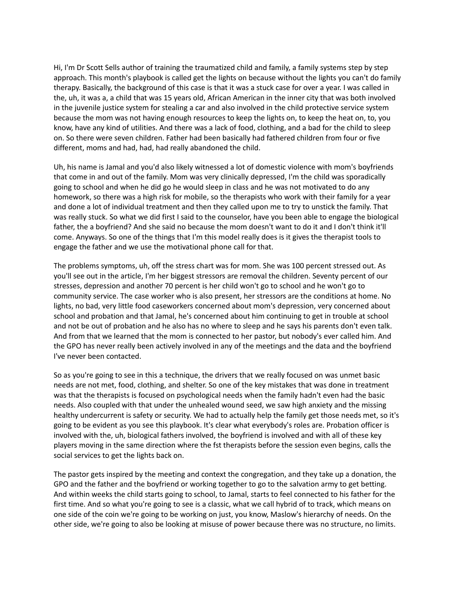Hi, I'm Dr Scott Sells author of training the traumatized child and family, a family systems step by step approach. This month's playbook is called get the lights on because without the lights you can't do family therapy. Basically, the background of this case is that it was a stuck case for over a year. I was called in the, uh, it was a, a child that was 15 years old, African American in the inner city that was both involved in the juvenile justice system for stealing a car and also involved in the child protective service system because the mom was not having enough resources to keep the lights on, to keep the heat on, to, you know, have any kind of utilities. And there was a lack of food, clothing, and a bad for the child to sleep on. So there were seven children. Father had been basically had fathered children from four or five different, moms and had, had, had really abandoned the child.

Uh, his name is Jamal and you'd also likely witnessed a lot of domestic violence with mom's boyfriends that come in and out of the family. Mom was very clinically depressed, I'm the child was sporadically going to school and when he did go he would sleep in class and he was not motivated to do any homework, so there was a high risk for mobile, so the therapists who work with their family for a year and done a lot of individual treatment and then they called upon me to try to unstick the family. That was really stuck. So what we did first I said to the counselor, have you been able to engage the biological father, the a boyfriend? And she said no because the mom doesn't want to do it and I don't think it'll come. Anyways. So one of the things that I'm this model really does is it gives the therapist tools to engage the father and we use the motivational phone call for that.

The problems symptoms, uh, off the stress chart was for mom. She was 100 percent stressed out. As you'll see out in the article, I'm her biggest stressors are removal the children. Seventy percent of our stresses, depression and another 70 percent is her child won't go to school and he won't go to community service. The case worker who is also present, her stressors are the conditions at home. No lights, no bad, very little food caseworkers concerned about mom's depression, very concerned about school and probation and that Jamal, he's concerned about him continuing to get in trouble at school and not be out of probation and he also has no where to sleep and he says his parents don't even talk. And from that we learned that the mom is connected to her pastor, but nobody's ever called him. And the GPO has never really been actively involved in any of the meetings and the data and the boyfriend I've never been contacted.

So as you're going to see in this a technique, the drivers that we really focused on was unmet basic needs are not met, food, clothing, and shelter. So one of the key mistakes that was done in treatment was that the therapists is focused on psychological needs when the family hadn't even had the basic needs. Also coupled with that under the unhealed wound seed, we saw high anxiety and the missing healthy undercurrent is safety or security. We had to actually help the family get those needs met, so it's going to be evident as you see this playbook. It's clear what everybody's roles are. Probation officer is involved with the, uh, biological fathers involved, the boyfriend is involved and with all of these key players moving in the same direction where the fst therapists before the session even begins, calls the social services to get the lights back on.

The pastor gets inspired by the meeting and context the congregation, and they take up a donation, the GPO and the father and the boyfriend or working together to go to the salvation army to get betting. And within weeks the child starts going to school, to Jamal, starts to feel connected to his father for the first time. And so what you're going to see is a classic, what we call hybrid of to track, which means on one side of the coin we're going to be working on just, you know, Maslow's hierarchy of needs. On the other side, we're going to also be looking at misuse of power because there was no structure, no limits.